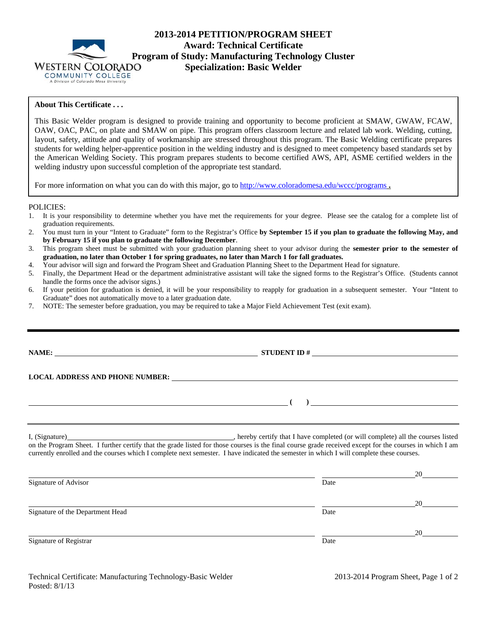

# **2013-2014 PETITION/PROGRAM SHEET Award: Technical Certificate Program of Study: Manufacturing Technology Cluster Specialization: Basic Welder**

## **About This Certificate . . .**

This Basic Welder program is designed to provide training and opportunity to become proficient at SMAW, GWAW, FCAW, OAW, OAC, PAC, on plate and SMAW on pipe. This program offers classroom lecture and related lab work. Welding, cutting, layout, safety, attitude and quality of workmanship are stressed throughout this program. The Basic Welding certificate prepares students for welding helper-apprentice position in the welding industry and is designed to meet competency based standards set by the American Welding Society. This program prepares students to become certified AWS, API, ASME certified welders in the welding industry upon successful completion of the appropriate test standard.

For more information on what you can do with this major, go to http://www.coloradomesa.edu/wccc/programs .

### POLICIES:

- 1. It is your responsibility to determine whether you have met the requirements for your degree. Please see the catalog for a complete list of graduation requirements.
- 2. You must turn in your "Intent to Graduate" form to the Registrar's Office **by September 15 if you plan to graduate the following May, and by February 15 if you plan to graduate the following December**.
- 3. This program sheet must be submitted with your graduation planning sheet to your advisor during the **semester prior to the semester of graduation, no later than October 1 for spring graduates, no later than March 1 for fall graduates.**
- 4. Your advisor will sign and forward the Program Sheet and Graduation Planning Sheet to the Department Head for signature.
- 5. Finally, the Department Head or the department administrative assistant will take the signed forms to the Registrar's Office. (Students cannot handle the forms once the advisor signs.)
- 6. If your petition for graduation is denied, it will be your responsibility to reapply for graduation in a subsequent semester. Your "Intent to Graduate" does not automatically move to a later graduation date.
- 7. NOTE: The semester before graduation, you may be required to take a Major Field Achievement Test (exit exam).

|                                  | $\overline{a}$ (b) and the contract of $\overline{a}$ (c) and the contract of $\overline{a}$ (c) and $\overline{a}$ (c) and $\overline{a}$ (c) and $\overline{a}$ (c) and $\overline{a}$ (c) and $\overline{a}$ (c) and $\overline{a}$ (c) and $\overline{a}$ (c) and $\overline{a}$ (c) and $\$ |    |
|----------------------------------|--------------------------------------------------------------------------------------------------------------------------------------------------------------------------------------------------------------------------------------------------------------------------------------------------|----|
|                                  | currently enrolled and the courses which I complete next semester. I have indicated the semester in which I will complete these courses.                                                                                                                                                         |    |
| Signature of Advisor             | Date                                                                                                                                                                                                                                                                                             |    |
| Signature of the Department Head | Date                                                                                                                                                                                                                                                                                             |    |
|                                  |                                                                                                                                                                                                                                                                                                  | 20 |

Signature of Registrar Date